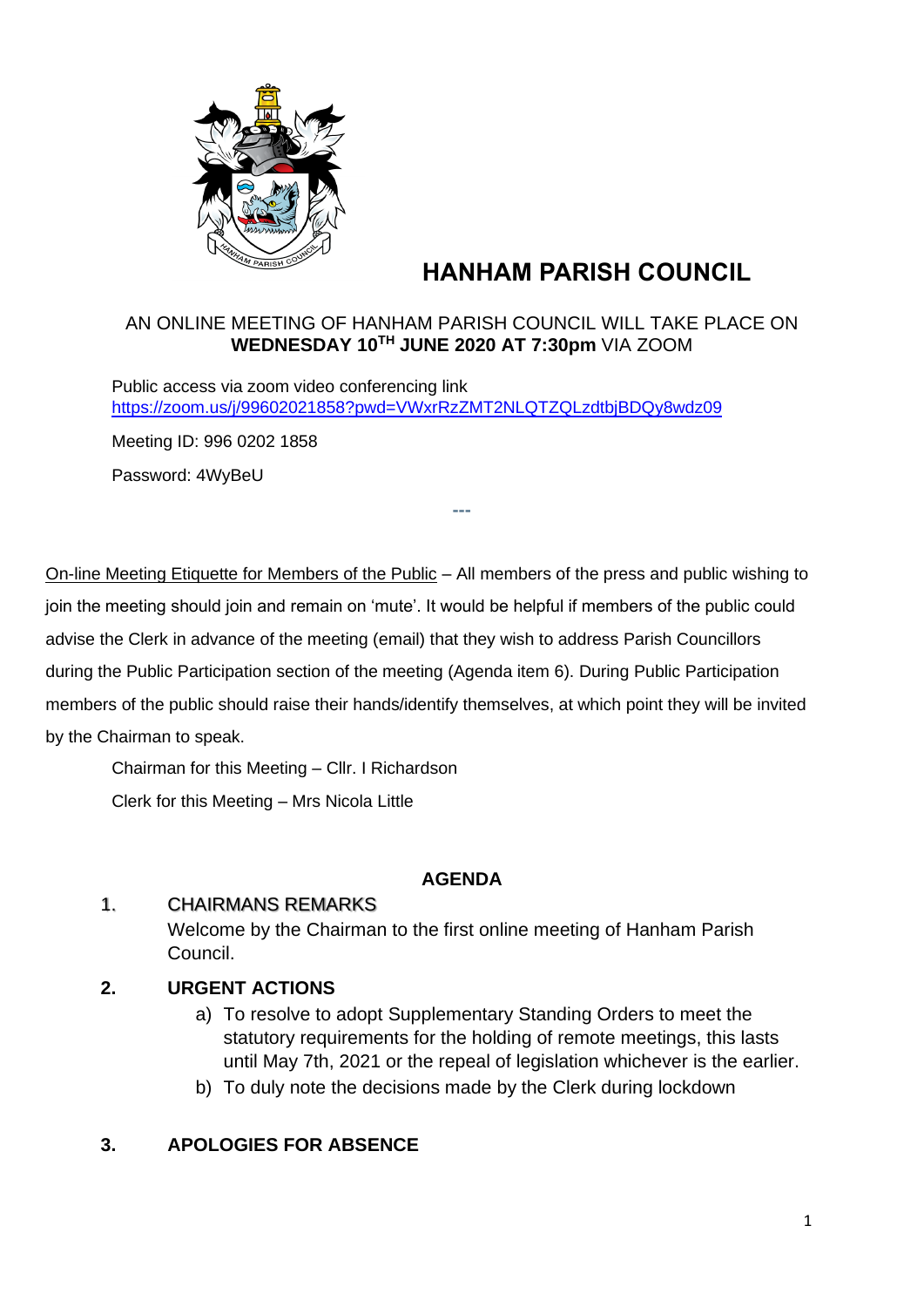

# **HANHAM PARISH COUNCIL**

### AN ONLINE MEETING OF HANHAM PARISH COUNCIL WILL TAKE PLACE ON **WEDNESDAY 10TH JUNE 2020 AT 7:30pm** VIA ZOOM

**---**

Public access via zoom video conferencing link <https://zoom.us/j/99602021858?pwd=VWxrRzZMT2NLQTZQLzdtbjBDQy8wdz09>

Meeting ID: 996 0202 1858

Password: 4WyBeU

On-line Meeting Etiquette for Members of the Public – All members of the press and public wishing to join the meeting should join and remain on 'mute'. It would be helpful if members of the public could advise the Clerk in advance of the meeting (email) that they wish to address Parish Councillors during the Public Participation section of the meeting (Agenda item 6). During Public Participation members of the public should raise their hands/identify themselves, at which point they will be invited by the Chairman to speak.

Chairman for this Meeting – Cllr. I Richardson

Clerk for this Meeting – Mrs Nicola Little

### **AGENDA**

### 1. CHAIRMANS REMARKS

Welcome by the Chairman to the first online meeting of Hanham Parish Council.

# **2. URGENT ACTIONS**

- a) To resolve to adopt Supplementary Standing Orders to meet the statutory requirements for the holding of remote meetings, this lasts until May 7th, 2021 or the repeal of legislation whichever is the earlier.
- b) To duly note the decisions made by the Clerk during lockdown

# **3. APOLOGIES FOR ABSENCE**